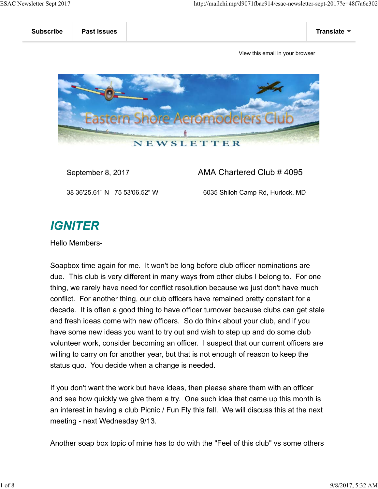

### September 8, 2017 **AMA Chartered Club # 4095**

38 36'25.61" N 75 53'06.52" W 6035 Shiloh Camp Rd, Hurlock, MD

# **IGNITER**

Hello Members-

Soapbox time again for me. It won't be long before club officer nominations are due. This club is very different in many ways from other clubs I belong to. For one thing, we rarely have need for conflict resolution because we just don't have much conflict. For another thing, our club officers have remained pretty constant for a decade. It is often a good thing to have officer turnover because clubs can get stale and fresh ideas come with new officers. So do think about your club, and if you have some new ideas you want to try out and wish to step up and do some club volunteer work, consider becoming an officer. I suspect that our current officers are willing to carry on for another year, but that is not enough of reason to keep the status quo. You decide when a change is needed.

If you don't want the work but have ideas, then please share them with an officer and see how quickly we give them a try. One such idea that came up this month is an interest in having a club Picnic / Fun Fly this fall. We will discuss this at the next meeting - next Wednesday 9/13.

Another soap box topic of mine has to do with the "Feel of this club" vs some others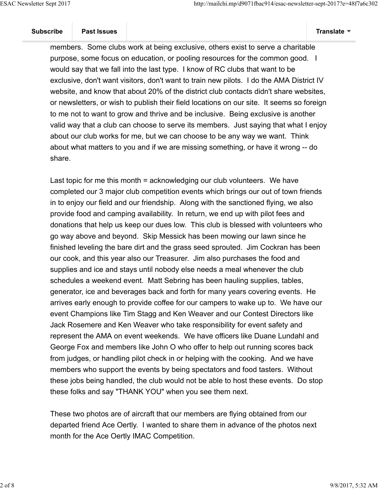members. Some clubs work at being exclusive, others exist to serve a charitable purpose, some focus on education, or pooling resources for the common good. I would say that we fall into the last type. I know of RC clubs that want to be exclusive, don't want visitors, don't want to train new pilots. I do the AMA District IV website, and know that about 20% of the district club contacts didn't share websites, or newsletters, or wish to publish their field locations on our site. It seems so foreign to me not to want to grow and thrive and be inclusive. Being exclusive is another valid way that a club can choose to serve its members. Just saying that what I enjoy about our club works for me, but we can choose to be any way we want. Think about what matters to you and if we are missing something, or have it wrong -- do share.

Last topic for me this month = acknowledging our club volunteers. We have completed our 3 major club competition events which brings our out of town friends in to enjoy our field and our friendship. Along with the sanctioned flying, we also provide food and camping availability. In return, we end up with pilot fees and donations that help us keep our dues low. This club is blessed with volunteers who go way above and beyond. Skip Messick has been mowing our lawn since he finished leveling the bare dirt and the grass seed sprouted. Jim Cockran has been our cook, and this year also our Treasurer. Jim also purchases the food and supplies and ice and stays until nobody else needs a meal whenever the club schedules a weekend event. Matt Sebring has been hauling supplies, tables, generator, ice and beverages back and forth for many years covering events. He arrives early enough to provide coffee for our campers to wake up to. We have our event Champions like Tim Stagg and Ken Weaver and our Contest Directors like Jack Rosemere and Ken Weaver who take responsibility for event safety and represent the AMA on event weekends. We have officers like Duane Lundahl and George Fox and members like John O who offer to help out running scores back from judges, or handling pilot check in or helping with the cooking. And we have members who support the events by being spectators and food tasters. Without these jobs being handled, the club would not be able to host these events. Do stop these folks and say "THANK YOU" when you see them next.

These two photos are of aircraft that our members are flying obtained from our departed friend Ace Oertly. I wanted to share them in advance of the photos next month for the Ace Oertly IMAC Competition.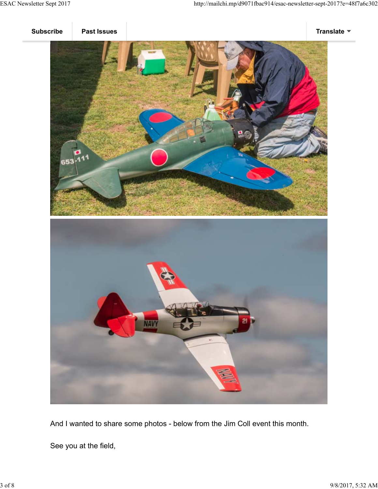



And I wanted to share some photos - below from the Jim Coll event this month.

See you at the field,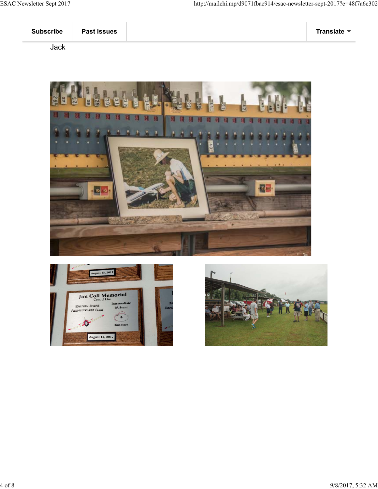#### Jack





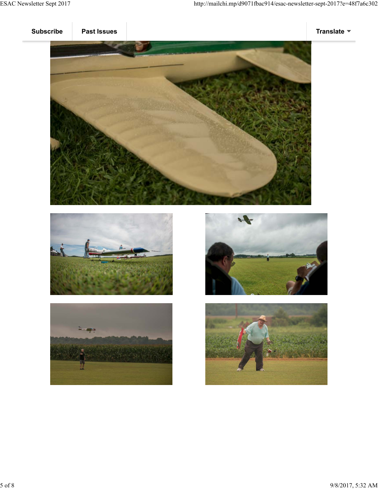







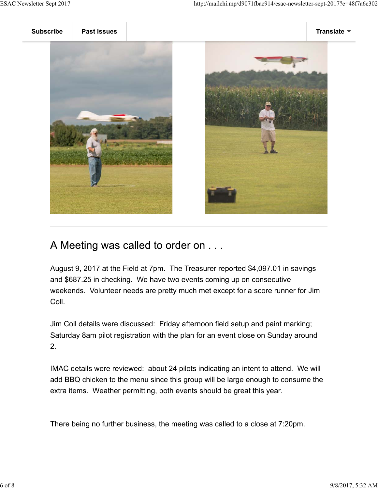



## A Meeting was called to order on . . .

August 9, 2017 at the Field at 7pm. The Treasurer reported \$4,097.01 in savings and \$687.25 in checking. We have two events coming up on consecutive weekends. Volunteer needs are pretty much met except for a score runner for Jim Coll.

Jim Coll details were discussed: Friday afternoon field setup and paint marking; Saturday 8am pilot registration with the plan for an event close on Sunday around 2.

IMAC details were reviewed: about 24 pilots indicating an intent to attend. We will add BBQ chicken to the menu since this group will be large enough to consume the extra items. Weather permitting, both events should be great this year.

There being no further business, the meeting was called to a close at 7:20pm.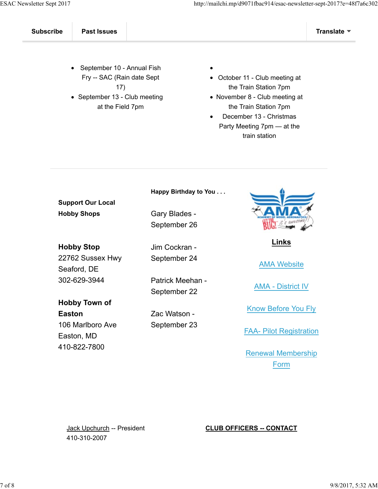- September 10 Annual Fish Fry -- SAC (Rain date Sept 17)
- September 13 Club meeting at the Field 7pm
- 
- October 11 Club meeting at the Train Station 7pm
- November 8 Club meeting at the Train Station 7pm
- December 13 Christmas Party Meeting 7pm — at the train station

**Support Our Local Hobby Shops**

**Hobby Stop** 22762 Sussex Hwy Seaford, DE 302-629-3944

**Hobby Town of Easton** 106 Marlboro Ave Easton, MD 410-822-7800

**Happy Birthday to You . . .**

Gary Blades - September 26

Jim Cockran - September 24

Patrick Meehan - September 22

Zac Watson - September 23



**Links**

AMA Website

AMA - District IV

Know Before You Fly

FAA- Pilot Registration

Renewal Membership Form

Jack Upchurch -- President 410-310-2007

#### **CLUB OFFICERS -- CONTACT**